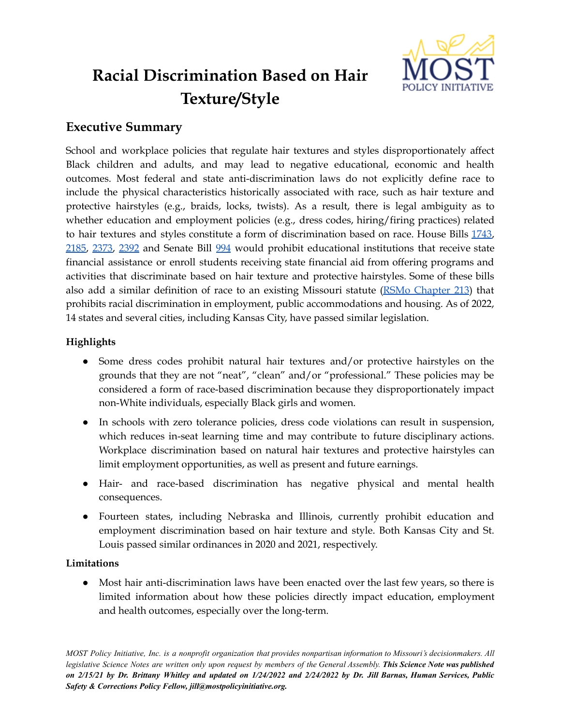

# **Racial Discrimination Based on Hair Texture/Style**

# **Executive Summary**

School and workplace policies that regulate hair textures and styles disproportionately affect Black children and adults, and may lead to negative educational, economic and health outcomes. Most federal and state anti-discrimination laws do not explicitly define race to include the physical characteristics historically associated with race, such as hair texture and protective hairstyles (e.g., braids, locks, twists). As a result, there is legal ambiguity as to whether education and employment policies (e.g., dress codes, hiring/firing practices) related to hair textures and styles constitute a form of discrimination based on race. House Bills [1743](https://house.mo.gov/Bill.aspx?bill=HB1743&year=2022&code=R), [2185,](https://house.mo.gov/Bill.aspx?bill=HB2185&year=2022&code=R) [2373,](https://house.mo.gov/Bill.aspx?bill=HB2373&year=2022&code=R) [2392](https://house.mo.gov/Bill.aspx?bill=HB2392&year=2022&code=R) and Senate Bill [994](https://www.senate.mo.gov/22info/BTS_Web/Bill.aspx?SessionType=R&BillID=72060704) would prohibit educational institutions that receive state financial assistance or enroll students receiving state financial aid from offering programs and activities that discriminate based on hair texture and protective hairstyles. Some of these bills also add a similar definition of race to an existing Missouri statute (RSMo [Chapter](https://revisor.mo.gov/main/OneChapter.aspx?chapter=213) 213) that prohibits racial discrimination in employment, public accommodations and housing. As of 2022, 14 states and several cities, including Kansas City, have passed similar legislation.

# **Highlights**

- Some dress codes prohibit natural hair textures and/or protective hairstyles on the grounds that they are not "neat", "clean" and/or "professional." These policies may be considered a form of race-based discrimination because they disproportionately impact non-White individuals, especially Black girls and women.
- In schools with zero tolerance policies, dress code violations can result in suspension, which reduces in-seat learning time and may contribute to future disciplinary actions. Workplace discrimination based on natural hair textures and protective hairstyles can limit employment opportunities, as well as present and future earnings.
- Hair- and race-based discrimination has negative physical and mental health consequences.
- Fourteen states, including Nebraska and Illinois, currently prohibit education and employment discrimination based on hair texture and style. Both Kansas City and St. Louis passed similar ordinances in 2020 and 2021, respectively.

## **Limitations**

• Most hair anti-discrimination laws have been enacted over the last few years, so there is limited information about how these policies directly impact education, employment and health outcomes, especially over the long-term.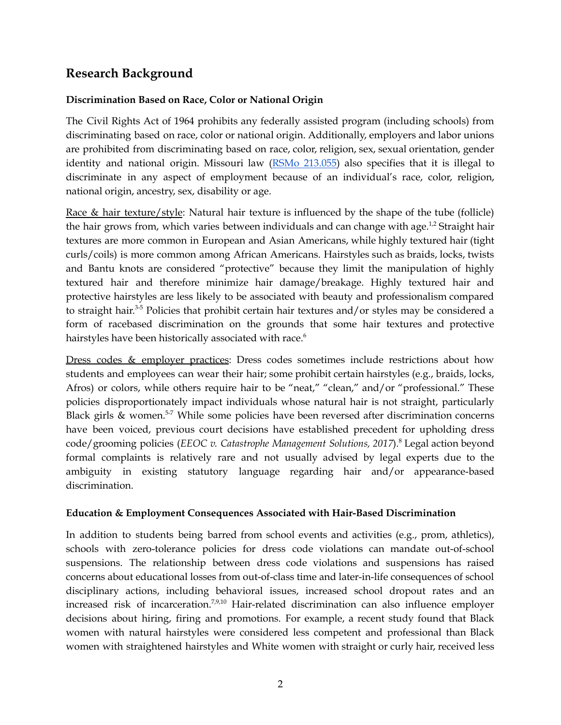# **Research Background**

### **Discrimination Based on Race, Color or National Origin**

The Civil Rights Act of 1964 prohibits any federally assisted program (including schools) from discriminating based on race, color or national origin. Additionally, employers and labor unions are prohibited from discriminating based on race, color, religion, sex, sexual orientation, gender identity and national origin. Missouri law (RSMo [213.055\)](https://revisor.mo.gov/main/OneSection.aspx?section=213.055&bid=34594&hl=) also specifies that it is illegal to discriminate in any aspect of employment because of an individual's race, color, religion, national origin, ancestry, sex, disability or age.

Race & hair texture/style: Natural hair texture is influenced by the shape of the tube (follicle) the hair grows from, which varies between individuals and can change with age.<sup>1,2</sup> Straight hair textures are more common in European and Asian Americans, while highly textured hair (tight curls/coils) is more common among African Americans. Hairstyles such as braids, locks, twists and Bantu knots are considered "protective" because they limit the manipulation of highly textured hair and therefore minimize hair damage/breakage. Highly textured hair and protective hairstyles are less likely to be associated with beauty and professionalism compared to straight hair.<sup>3-5</sup> Policies that prohibit certain hair textures and/or styles may be considered a form of racebased discrimination on the grounds that some hair textures and protective hairstyles have been historically associated with race. 6

Dress codes & employer practices: Dress codes sometimes include restrictions about how students and employees can wear their hair; some prohibit certain hairstyles (e.g., braids, locks, Afros) or colors, while others require hair to be "neat," "clean," and/or "professional." These policies disproportionately impact individuals whose natural hair is not straight, particularly Black girls & women.<sup>5-7</sup> While some policies have been reversed after discrimination concerns have been voiced, previous court decisions have established precedent for upholding dress code/grooming policies (*EEOC v. Catastrophe Management Solutions, 2017*). <sup>8</sup> Legal action beyond formal complaints is relatively rare and not usually advised by legal experts due to the ambiguity in existing statutory language regarding hair and/or appearance-based discrimination.

#### **Education & Employment Consequences Associated with Hair-Based Discrimination**

In addition to students being barred from school events and activities (e.g., prom, athletics), schools with zero-tolerance policies for dress code violations can mandate out-of-school suspensions. The relationship between dress code violations and suspensions has raised concerns about educational losses from out-of-class time and later-in-life consequences of school disciplinary actions, including behavioral issues, increased school dropout rates and an increased risk of incarceration.<sup>7,9,10</sup> Hair-related discrimination can also influence employer decisions about hiring, firing and promotions. For example, a recent study found that Black women with natural hairstyles were considered less competent and professional than Black women with straightened hairstyles and White women with straight or curly hair, received less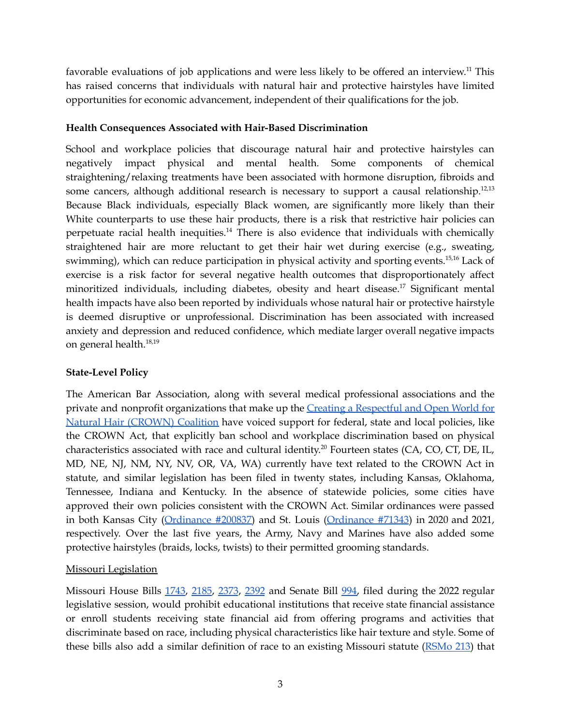favorable evaluations of job applications and were less likely to be offered an interview.<sup>11</sup> This has raised concerns that individuals with natural hair and protective hairstyles have limited opportunities for economic advancement, independent of their qualifications for the job.

#### **Health Consequences Associated with Hair-Based Discrimination**

School and workplace policies that discourage natural hair and protective hairstyles can negatively impact physical and mental health. Some components of chemical straightening/relaxing treatments have been associated with hormone disruption, fibroids and some cancers, although additional research is necessary to support a causal relationship.<sup>12,13</sup> Because Black individuals, especially Black women, are significantly more likely than their White counterparts to use these hair products, there is a risk that restrictive hair policies can perpetuate racial health inequities.<sup>14</sup> There is also evidence that individuals with chemically straightened hair are more reluctant to get their hair wet during exercise (e.g., sweating, swimming), which can reduce participation in physical activity and sporting events.<sup>15,16</sup> Lack of exercise is a risk factor for several negative health outcomes that disproportionately affect minoritized individuals, including diabetes, obesity and heart disease.<sup>17</sup> Significant mental health impacts have also been reported by individuals whose natural hair or protective hairstyle is deemed disruptive or unprofessional. Discrimination has been associated with increased anxiety and depression and reduced confidence, which mediate larger overall negative impacts on general health. 18,19

#### **State-Level Policy**

The American Bar Association, along with several medical professional associations and the private and nonprofit organizations that make up the Creating a [Respectful](https://www.thecrownact.com/about) and Open World for Natural Hair [\(CROWN\)](https://www.thecrownact.com/about) Coalition have voiced support for federal, state and local policies, like the CROWN Act, that explicitly ban school and workplace discrimination based on physical characteristics associated with race and cultural identity. <sup>20</sup> Fourteen states (CA, CO, CT, DE, IL, MD, NE, NJ, NM, NY, NV, OR, VA, WA) currently have text related to the CROWN Act in statute, and similar legislation has been filed in twenty states, including Kansas, Oklahoma, Tennessee, Indiana and Kentucky. In the absence of statewide policies, some cities have approved their own policies consistent with the CROWN Act. Similar ordinances were passed in both Kansas City ([Ordinance](https://library.municode.com/mo/kansas_city/ordinances/code_of_ordinances?nodeId=1042836) #200837) and St. Louis ([Ordinance](https://www.stlouis-mo.gov/government/city-laws/ordinances/ordinance.cfm?ord=71343) #71343) in 2020 and 2021, respectively. Over the last five years, the Army, Navy and Marines have also added some protective hairstyles (braids, locks, twists) to their permitted grooming standards.

#### Missouri Legislation

Missouri House Bills [1743](https://house.mo.gov/Bill.aspx?bill=HB1743&year=2022&code=R), [2185](https://house.mo.gov/Bill.aspx?bill=HB2185&year=2022&code=R), [2373](https://house.mo.gov/Bill.aspx?bill=HB2373&year=2022&code=R), [2392](https://house.mo.gov/Bill.aspx?bill=HB2392&year=2022&code=R) and Senate Bill [994,](https://www.senate.mo.gov/22info/BTS_Web/Bill.aspx?SessionType=R&BillID=72060704) filed during the 2022 regular legislative session, would prohibit educational institutions that receive state financial assistance or enroll students receiving state financial aid from offering programs and activities that discriminate based on race, including physical characteristics like hair texture and style. Some of these bills also add a similar definition of race to an existing Missouri statute [\(RSMo](https://revisor.mo.gov/main/OneChapter.aspx?chapter=213) 213) that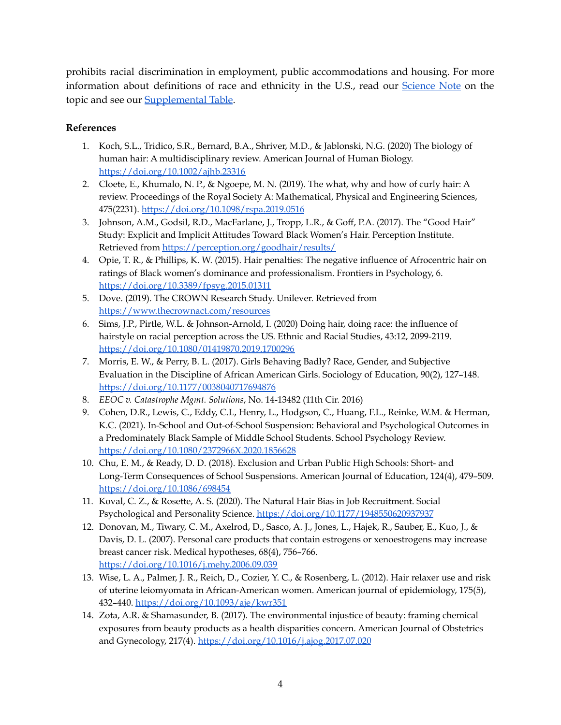prohibits racial discrimination in employment, public accommodations and housing. For more information about definitions of race and ethnicity in the U.S., read our [Science](https://mostpolicyinitiative.org/science-note/definitions-of-race-and-ethnicity-in-the-united-states/) Note on the topic and see our [Supplemental](https://mostpolicyinitiative.org/wp-content/uploads/2022/02/MOST-Table-Definitions-of-Race.pdf) Table.

## **References**

- 1. Koch, S.L., Tridico, S.R., Bernard, B.A., Shriver, M.D., & Jablonski, N.G. (2020) The biology of human hair: A multidisciplinary review. American Journal of Human Biology. <https://doi.org/10.1002/ajhb.23316>
- 2. Cloete, E., Khumalo, N. P., & Ngoepe, M. N. (2019). The what, why and how of curly hair: A review. Proceedings of the Royal Society A: Mathematical, Physical and Engineering Sciences, 475(2231). <https://doi.org/10.1098/rspa.2019.0516>
- 3. Johnson, A.M., Godsil, R.D., MacFarlane, J., Tropp, L.R., & Goff, P.A. (2017). The "Good Hair" Study: Explicit and Implicit Attitudes Toward Black Women's Hair. Perception Institute. Retrieved from <https://perception.org/goodhair/results/>
- 4. Opie, T. R., & Phillips, K. W. (2015). Hair penalties: The negative influence of Afrocentric hair on ratings of Black women's dominance and professionalism. Frontiers in Psychology, 6. <https://doi.org/10.3389/fpsyg.2015.01311>
- 5. Dove. (2019). The CROWN Research Study. Unilever. Retrieved from <https://www.thecrownact.com/resources>
- 6. Sims, J.P., Pirtle, W.L. & Johnson-Arnold, I. (2020) Doing hair, doing race: the influence of hairstyle on racial perception across the US. Ethnic and Racial Studies, 43:12, 2099-2119. <https://doi.org/10.1080/01419870.2019.1700296>
- 7. Morris, E. W., & Perry, B. L. (2017). Girls Behaving Badly? Race, Gender, and Subjective Evaluation in the Discipline of African American Girls. Sociology of Education, 90(2), 127–148. <https://doi.org/10.1177/0038040717694876>
- 8. *EEOC v. Catastrophe Mgmt. Solutions*, No. 14-13482 (11th Cir. 2016)
- 9. Cohen, D.R., Lewis, C., Eddy, C.L, Henry, L., Hodgson, C., Huang, F.L., Reinke, W.M. & Herman, K.C. (2021). In-School and Out-of-School Suspension: Behavioral and Psychological Outcomes in a Predominately Black Sample of Middle School Students. School Psychology Review. <https://doi.org/10.1080/2372966X.2020.1856628>
- 10. Chu, E. M., & Ready, D. D. (2018). Exclusion and Urban Public High Schools: Short- and Long-Term Consequences of School Suspensions. American Journal of Education, 124(4), 479–509. <https://doi.org/10.1086/698454>
- 11. Koval, C. Z., & Rosette, A. S. (2020). The Natural Hair Bias in Job Recruitment. Social Psychological and Personality Science. <https://doi.org/10.1177/1948550620937937>
- 12. Donovan, M., Tiwary, C. M., Axelrod, D., Sasco, A. J., Jones, L., Hajek, R., Sauber, E., Kuo, J., & Davis, D. L. (2007). Personal care products that contain estrogens or xenoestrogens may increase breast cancer risk. Medical hypotheses, 68(4), 756–766. <https://doi.org/10.1016/j.mehy.2006.09.039>
- 13. Wise, L. A., Palmer, J. R., Reich, D., Cozier, Y. C., & Rosenberg, L. (2012). Hair relaxer use and risk of uterine leiomyomata in African-American women. American journal of epidemiology, 175(5), 432–440. <https://doi.org/10.1093/aje/kwr351>
- 14. Zota, A.R. & Shamasunder, B. (2017). The environmental injustice of beauty: framing chemical exposures from beauty products as a health disparities concern. American Journal of Obstetrics and Gynecology, 217(4). <https://doi.org/10.1016/j.ajog.2017.07.020>